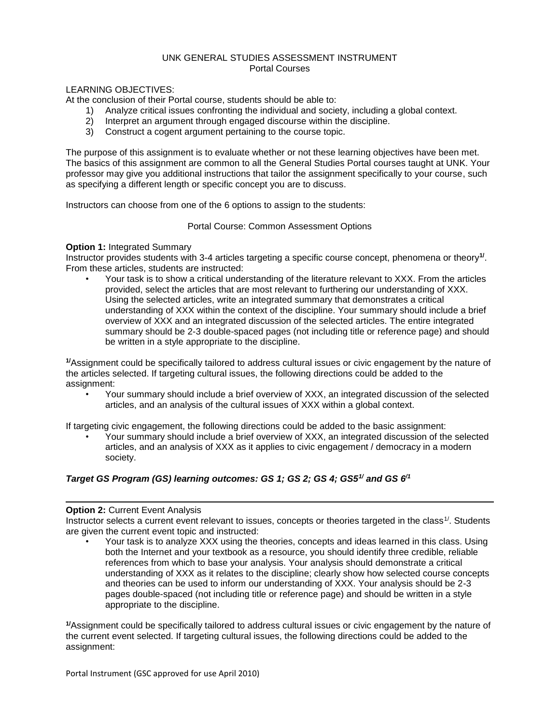### UNK GENERAL STUDIES ASSESSMENT INSTRUMENT Portal Courses

### LEARNING OBJECTIVES:

At the conclusion of their Portal course, students should be able to:

- 1) Analyze critical issues confronting the individual and society, including a global context.
- 2) Interpret an argument through engaged discourse within the discipline.
- 3) Construct a cogent argument pertaining to the course topic.

The purpose of this assignment is to evaluate whether or not these learning objectives have been met. The basics of this assignment are common to all the General Studies Portal courses taught at UNK. Your professor may give you additional instructions that tailor the assignment specifically to your course, such as specifying a different length or specific concept you are to discuss.

Instructors can choose from one of the 6 options to assign to the students:

Portal Course: Common Assessment Options

### **Option 1:** Integrated Summary

Instructor provides students with 3-4 articles targeting a specific course concept, phenomena or theory<sup>1/</sup>. From these articles, students are instructed:

• Your task is to show a critical understanding of the literature relevant to XXX. From the articles provided, select the articles that are most relevant to furthering our understanding of XXX. Using the selected articles, write an integrated summary that demonstrates a critical understanding of XXX within the context of the discipline. Your summary should include a brief overview of XXX and an integrated discussion of the selected articles. The entire integrated summary should be 2-3 double-spaced pages (not including title or reference page) and should be written in a style appropriate to the discipline.

**1/**Assignment could be specifically tailored to address cultural issues or civic engagement by the nature of the articles selected. If targeting cultural issues, the following directions could be added to the assignment:

• Your summary should include a brief overview of XXX, an integrated discussion of the selected articles, and an analysis of the cultural issues of XXX within a global context.

If targeting civic engagement, the following directions could be added to the basic assignment:

• Your summary should include a brief overview of XXX, an integrated discussion of the selected articles, and an analysis of XXX as it applies to civic engagement / democracy in a modern society.

# *Target GS Program (GS) learning outcomes: GS 1; GS 2; GS 4; GS51/ and GS 6/1*

### **Option 2: Current Event Analysis**

Instructor selects a current event relevant to issues, concepts or theories targeted in the class<sup>1/</sup>. Students are given the current event topic and instructed:

• Your task is to analyze XXX using the theories, concepts and ideas learned in this class. Using both the Internet and your textbook as a resource, you should identify three credible, reliable references from which to base your analysis. Your analysis should demonstrate a critical understanding of XXX as it relates to the discipline; clearly show how selected course concepts and theories can be used to inform our understanding of XXX. Your analysis should be 2-3 pages double-spaced (not including title or reference page) and should be written in a style appropriate to the discipline.

**1/**Assignment could be specifically tailored to address cultural issues or civic engagement by the nature of the current event selected. If targeting cultural issues, the following directions could be added to the assignment: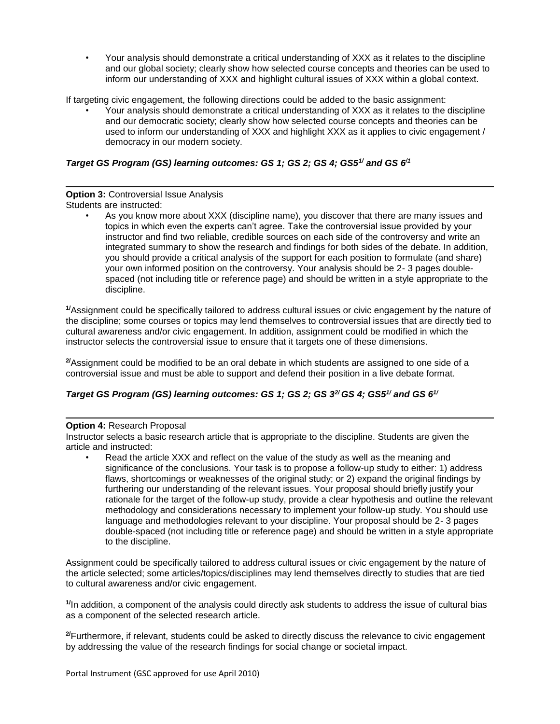• Your analysis should demonstrate a critical understanding of XXX as it relates to the discipline and our global society; clearly show how selected course concepts and theories can be used to inform our understanding of XXX and highlight cultural issues of XXX within a global context.

If targeting civic engagement, the following directions could be added to the basic assignment:

• Your analysis should demonstrate a critical understanding of XXX as it relates to the discipline and our democratic society; clearly show how selected course concepts and theories can be used to inform our understanding of XXX and highlight XXX as it applies to civic engagement / democracy in our modern society.

# *Target GS Program (GS) learning outcomes: GS 1; GS 2; GS 4; GS51/ and GS 6/1*

#### **Option 3: Controversial Issue Analysis** Students are instructed:

• As you know more about XXX (discipline name), you discover that there are many issues and topics in which even the experts can't agree. Take the controversial issue provided by your instructor and find two reliable, credible sources on each side of the controversy and write an integrated summary to show the research and findings for both sides of the debate. In addition, you should provide a critical analysis of the support for each position to formulate (and share) your own informed position on the controversy. Your analysis should be 2- 3 pages doublespaced (not including title or reference page) and should be written in a style appropriate to the discipline.

**1/**Assignment could be specifically tailored to address cultural issues or civic engagement by the nature of the discipline; some courses or topics may lend themselves to controversial issues that are directly tied to cultural awareness and/or civic engagement. In addition, assignment could be modified in which the instructor selects the controversial issue to ensure that it targets one of these dimensions.

<sup>2/</sup>Assignment could be modified to be an oral debate in which students are assigned to one side of a controversial issue and must be able to support and defend their position in a live debate format.

# *Target GS Program (GS) learning outcomes: GS 1; GS 2; GS 32/ GS 4; GS51/ and GS 61/*

### **Option 4:** Research Proposal

Instructor selects a basic research article that is appropriate to the discipline. Students are given the article and instructed:

• Read the article XXX and reflect on the value of the study as well as the meaning and significance of the conclusions. Your task is to propose a follow-up study to either: 1) address flaws, shortcomings or weaknesses of the original study; or 2) expand the original findings by furthering our understanding of the relevant issues. Your proposal should briefly justify your rationale for the target of the follow-up study, provide a clear hypothesis and outline the relevant methodology and considerations necessary to implement your follow-up study. You should use language and methodologies relevant to your discipline. Your proposal should be 2- 3 pages double-spaced (not including title or reference page) and should be written in a style appropriate to the discipline.

Assignment could be specifically tailored to address cultural issues or civic engagement by the nature of the article selected; some articles/topics/disciplines may lend themselves directly to studies that are tied to cultural awareness and/or civic engagement.

**1/**In addition, a component of the analysis could directly ask students to address the issue of cultural bias as a component of the selected research article.

**2/**Furthermore, if relevant, students could be asked to directly discuss the relevance to civic engagement by addressing the value of the research findings for social change or societal impact.